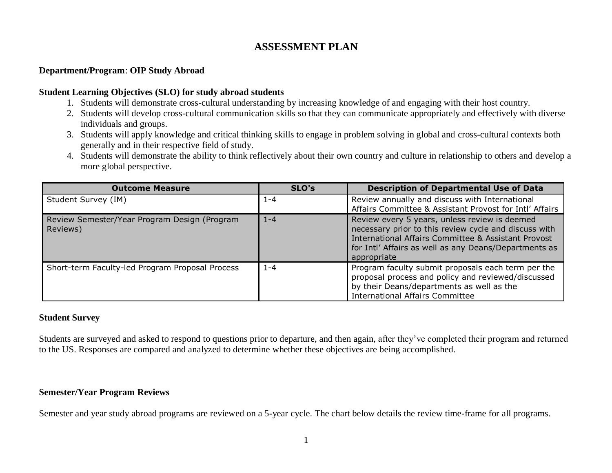# **ASSESSMENT PLAN**

# **Department/Program**: **OIP Study Abroad**

## **Student Learning Objectives (SLO) for study abroad students**

- 1. Students will demonstrate cross-cultural understanding by increasing knowledge of and engaging with their host country.
- 2. Students will develop cross-cultural communication skills so that they can communicate appropriately and effectively with diverse individuals and groups.
- 3. Students will apply knowledge and critical thinking skills to engage in problem solving in global and cross-cultural contexts both generally and in their respective field of study.
- 4. Students will demonstrate the ability to think reflectively about their own country and culture in relationship to others and develop a more global perspective.

| <b>Outcome Measure</b>                                   | SLO's   | <b>Description of Departmental Use of Data</b>                                                                                                                                                                                        |
|----------------------------------------------------------|---------|---------------------------------------------------------------------------------------------------------------------------------------------------------------------------------------------------------------------------------------|
| Student Survey (IM)                                      | 1-4     | Review annually and discuss with International<br>Affairs Committee & Assistant Provost for Intl' Affairs                                                                                                                             |
| Review Semester/Year Program Design (Program<br>Reviews) | $1 - 4$ | Review every 5 years, unless review is deemed<br>necessary prior to this review cycle and discuss with<br>International Affairs Committee & Assistant Provost<br>for Intl' Affairs as well as any Deans/Departments as<br>appropriate |
| Short-term Faculty-led Program Proposal Process          | $1 - 4$ | Program faculty submit proposals each term per the<br>proposal process and policy and reviewed/discussed<br>by their Deans/departments as well as the<br><b>International Affairs Committee</b>                                       |

#### **Student Survey**

Students are surveyed and asked to respond to questions prior to departure, and then again, after they've completed their program and returned to the US. Responses are compared and analyzed to determine whether these objectives are being accomplished.

## **Semester/Year Program Reviews**

Semester and year study abroad programs are reviewed on a 5-year cycle. The chart below details the review time-frame for all programs.